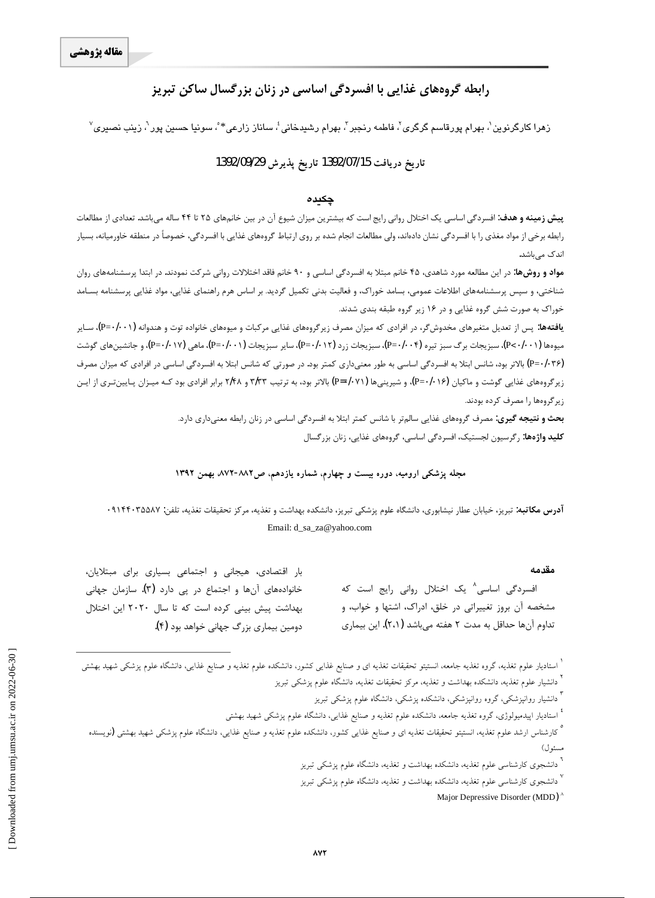# **رابطه گروههای غذایی با افسردگی اساسی در زنان بزرگسال ساکن تبریز**

زهرا کارگرنوین`، بهرام پورقاسم گرگری`، فاطمه رنجبر`، بهرام رشیدخانیٴ، ساناز زارعی\* ؒ، سونیا حسین پور<sup>٦</sup>، زینب نصیری<sup>٬</sup>

#### **1392/09/29Ë~axËZe 1392/07/15d§ZË{ xËZe**

#### چکیده

**پیش زمینه و هدف**: افسردگی اساسی یک اختلال روانی رایج است که بیشترین میزان شیوع آن در بین خانمهای ۲۵ تا ۴۴ ساله میباشد. تعدادی از مطالعات رابطه برخی از مواد مغذی را با افسردگی نشان دادهاند، ولی مطالعات انجام شده بر روی ارتباط گروههای غذایی با افسردگی، خصوصاً در منطقه خاورمیانه، بسیار اندک مے باشد.

**مواد و روشها:** در این مطالعه مورد شاهدی، ۴۵ خانم مبتلا به افسردگی اساسی و ۹۰ خانم فاقد اختلالات روانی شرکت نمودند. در ابتدا پرسشنامههای روان شناختی، و سپس پرسشنامههای اطلاعات عمومی، بسامد خوراک، و فعالیت بدنی تکمیل گردید. بر اساس هرم راهنمای فذایی، مواد غذایی پرسشنامه بسـامد خوراک به صورت شش گروه غذایی و در ۱۶ زیر گروه طبقه بندی شدند.

ی**افتهها**: پس از تعدیل متغیرهای مخدوشگر، در افرادی که میزان مصرف زیرگروههای غذایی مرکبات و میوههای خانواده توت و هندوانه (P=۰/۰۰۱)، سـایر میوهها (P<۰/۰۰۱)، سبزیجات برگ سبز تیره (P=۰/۰۰۴)، سبزیجات زرد (P=۰/۰۱۲)، سایر سبزیجات (P=۰/۰۰۱)، ماهی (P=۰/۰۱۷)، و جانشینهای گوشت (P=•/•۴۶) بالاتر بود، شانس ابتلا به افسردگی اساسی به طور معنیداری کمتر بود. در صورتی که شانس ابتلا به افسردگی اساسی در افرادی که میزان مصرف زیر گروههای غذایی گوشت و ماکیان (P=٠/٠٧٩)، و شیرینیها (P=٠/٠٧١) بالاتر بود، به ترتیب ۳/۳۳ و ۲/۴۸ برابر افرادی بود کـه میـزان پـایین<code>تـری</code> از ایـن زیر گروهها را مصرف کرده بودند.

> **بحث و نتيجه گيري:** مصرف گروههاي غذايي سالمتر با شانس كمتر ابتلا به افسردگي اساسي در زنان رابطه معنيداري دارد. **کلید واژهها:** رگرسیون لجستیک، افسردگی اساسی، گروههای غذایی، زنان بزرگسال

مجله پزشکی ارومیه، دوره بیست و چهارم، شماره یازدهم، ص۸۸۲-۸۷۲. بهمن ۱۳۹۲

<mark>آدرس مکاتبه</mark>: تبریز، خیابان عطار نیشابوری، دانشگاه علوم پزشکی تبریز، دانشکده بهداشت و تغذیه، مرکز تحقیقات تغذیه، تلفن: ۹۱۴۴۰۳۵۵۸۷ Email: d\_sa\_za@yahoo.com

#### **مقدمه**

فسردگی اساسی<sup>۸</sup> یک اختلال روانی رایج است که مشخصه آن بروز تغییراتی در خلق، ادراک، اشتها و خواب، و تداوم آنها حداقل به مدت ۲ هفته میباشد (۲،۱). این بیماری

بار اقتصادى، هيجانى و اجتماعى بسيارى براى مبتلايان، خانوادههای آنها و اجتماع در پی دارد (۳). سازمان جهانی بهداشت پیش بینی کرده است که تا سال ۲۰۲۰ این اختلال دومین بیماری بزرگ جهانی خواهد بود (۴**)**.

<sup>۳</sup> دانشیار روانپزشکی، گروه روانپزشکی، دانشکده پزشکیاه ماشقه موم پزشکی تبریز

ٔ استادیار اپیدمیولوژی، گروه تغذیه جامعه، دانشکده علوم تغذیه و صنایع غذایی، دانشگاه علوم پزشکی شهید بهشتی

° کارشناس ارشد علوم تغذیه، انستیتو تحقیقات تغذیه ای و صنایع غذاییی کشور، دانشکده علوم تغذیه و صنایع غذایی، دانشگاه علوم پزشکی شهید بهشتی **(**نویسنده مسئول)

.<br><sup>7</sup> دانشجوی کارشناسی علوم تغذیه، دانشکده بهداشت و تغذیه، دانشگاه علوم پزشکی تبریز

<sup>۰</sup> دانشجوی کارشناسی علوم تغذیه، دانشکده بهداشت و تغذیه، دانشگاه علوم پزشکی تبریز

Major Depressive Disorder (MDD)<sup>'</sup>

 $\overline{a}$ 

<sup>ٔ</sup> استادیار علوم تغذیه گروه تغذیه جامعه، انستیتو تحقیقات تغذیه ای و صنایع غذایی کشور، دانشکده علوم تغذیه و صنایع غذایی، دانشگاه علوم پزشکی شهید بهشتی .<br><sup>۲</sup> دانشیار علوم تغذیه، دانشکده بهداشت و تغذیه، مرکز تحقیقات تغذیه، دانشگاه علوم پزشکی تبریز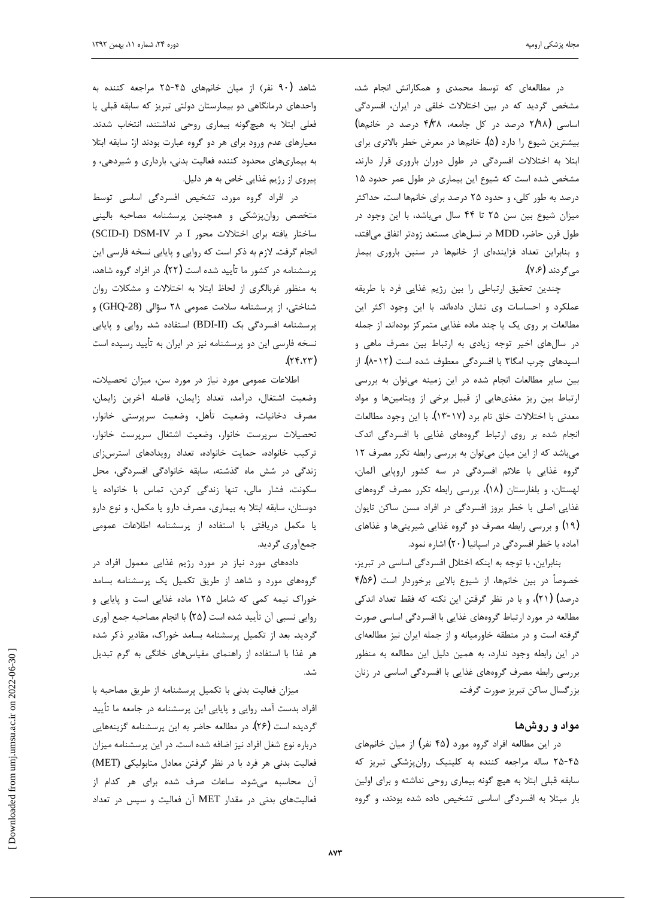در مطالعهای که توسط محمدی و همکارانش انجام شد، مشخص گردید که در بین اختلالات خلقی در ایران، افسردگی (ماسی (۲/۹۸ درصد در کل جامعه، ۴/۳۸ درصد در خانمها) بیشترین شیوع را دارد (۵**)**. خانمها در معرض خطر بالاتری برای ابتلا به اختلالات افسردگی در طول دوران باروری قرار دارند. مشخص شده است که شیوع این بیماری در طول عمر حدود ۱۵ درصد به طور کلی، و حدود ۲۵ درصد برای خانمها است. حداکثر میزان شیوع بین سن ۲۵ تا ۴۴ سال میباشد، با این وجود در طول قرن حاضر، MDD در نسلهای مستعد زودتر اتفاق میافتد، و بنابراین تعداد فزایندهای از خانمها در سنین باروری بیمار مي گردند (۷،۶).

چندین تحقیق ارتباطی را بین رژیم غذایی فرد با طریقه عملکرد و احساسات وی نشان دادهاند. با این وجود اکثر این مطالعات بر روى يک يا چند ماده غذايى متمركز بودهاند. از جمله در سال های اخیر توجه زیادی به ارتباط بین مصرف ماهی و اسیدهای چرب امگا۳ با افسردگی معطوف شده است (۱۲-۸). از بین سایر مطالعات انجام شده در این زمینه میتوان به بررسی ارتباط بين ريز مغذىهايي از قبيل برخي از ويتامينها و مواد معدنی با اختلالات خلق نام برد (۱۷-۱۳). با این وجود مطالعات انجام شده بر روى ارتباط گروههاى غذايى با افسردگى اندك میباشد که از این میان میتوان به بررسی رابطه تکرر مصرف ١٢ گروه غذایی با علائم افسردگی در سه کشور اروپایی آلمان، لهستان، و بلغارستان (۱۸)، بررسی رابطه تکرر مصرف گروههای غذایی اصلی با خطر بروز افسردگی در افراد مسن ساکن تایوان (۱۹) و بررسی رابطه مصرف دو گروه غذایی شیرینیها و غذاهای آماده با خطر افسردگی در اسپانیا (۲۰) اشاره نمود.

بنابراین، با توجه به اینکه اختلال افسردگی اساسی در تبریز، خصوصاً در بين خانمها، از شيوع بالايي برخوردار است (۴/۵۶ درصد) (۲۱)، و با در نظر گرفتن این نکته که فقط تعداد اندکی مطالعه در مورد ارتباط گروههای غذایی با افسردگی اساسی صورت گرفته است و در منطقه خاورمیانه و از جمله ایران نیز مطالعهای در این رابطه وجود ندارد، به همین دلیل این مطالعه به منظور بررسی رابطه مصرف گروههای غذایی با افسردگی اساسی در زنان بزرگسال ساكن تبريز صورت گرفت.

### **مواد و روشها**

در این مطالعه افراد گروه مورد (۴۵ نفر) از میان خانمهای ۲۵-۴۵ ساله مراجعه كننده به كلينيك روانپزشكي تبريز كه سابقه قبلی ابتلا به هیچ گونه بیماری روحی نداشته و برای اولین بار مبتلا به افسردگی اساسی تشخیص داده شده بودند، و گروه

شاهد (۹۰ نفر) از میان خانمهای ۴۵-۲۵ مراجعه کننده به واحدهای درمانگاهی دو بیمارستان دولتی تبریز که سابقه قبلی یا فعلی ابتلا به هیچگونه بیماری روحی نداشتند، انتخاب شدند. معیارهای عدم ورود برای هر دو گروه عبارت بودند از: سابقه ابتلا به بیماریهای محدود کننده فعالیت بدنی، بارداری و شیردهی، و پیروی از رژیم غذایی خاص به هر دلیل. j

در افراد گروه مورد، تشخیص افسردگی اساسی توسط متخصص روانپزشکی و همچنین پرسشنامه مصاحبه بالینی ساختار يافته براى اختلالات محور I در SCID-I) DSM-IV انجام گرفت. لازم به ذکر است که روایی و پایایی نسخه فارسی این پرسشنامه در کشور ما تأييد شده است (٢٢). در افراد گروه شاهد، به منظور غربالگری از لحاظ ابتلا به اختلالات و مشکلات روان شناختی، از پرسشنامه سلامت عمومی ۲۸ سؤالی (GHQ-28) و پرسشنامه افسردگی بک (BDI-II) استفاده شد. روایی و پایایی نسخه فارسی این دو پرسشنامه نیز در ایران به تأیید رسیده است  $(\gamma \gamma, \gamma \gamma)$ 

اطلاعات عمومی مورد نیاز در مورد سن، میزان تحصیلات، وضعيت اشتغال، درآمد، تعداد زايمان، فاصله أخرين زايمان، مصرف دخانيات، وضعيت ، مرپرستي خانوار، تحصيلات سرپرست خانوار، وضعيت اشتغال سرپرست خانوار، تركيب خانواده، حمايت خانواده، تعداد رويدادهاى استرسزاى زندگی در شش ماه گذشته، سابقه خانوادگی افسردگی، محل سكونت، فشار مالي، تنها زندگى كردن، تماس با خانواده يا دوستان، سابقه ابتلا به بيمارى، مصرف دارو يا مكمل، و نوع دارو یا مکمل دریافتی با استفاده از پرسشنامه اطلاعات عمومی جمعآوري گرديد.

دادههای مورد نیاز در مورد رژیم غذایی معمول افراد در گروههای مورد و شاهد از طریق تکمیل یک پرسشنامه بسامد خوراک نیمه کمی که شامل ۱۲۵ ماده غذایی است و پایایی و روایی نسبی آن تأیید شده است (۲۵) با انجام مصاحبه جمع آوری گردید. بعد از تکمیل پرسشنامه بسامد خوراک، مقادیر ذکر شده هر غذا با استفاده از راهنمای مقیاسهای خانگی به گرم تبدیل شد.

میزان فعالیت بدنی با تکمیل پرسشنامه از طریق مصاحبه با افراد بدست آمد. روایی و پایایی این پرسشنامه در جامعه ما تأیید گردیده است (۲۶). در مطالعه حاضر به این پرسشنامه گزینههایی درباره نوع شغل افراد نیز اضافه شده است. در این پرسشنامه میزان فعاليت بدني هر فرد با در نظر گرفتن معادل متابوليكي (MET) آن محاسبه میشود. ساعات صرف شده برای هر کدام از فعالیتهای بدنی در مقدار MET آن فعالیت و سپس در تعداد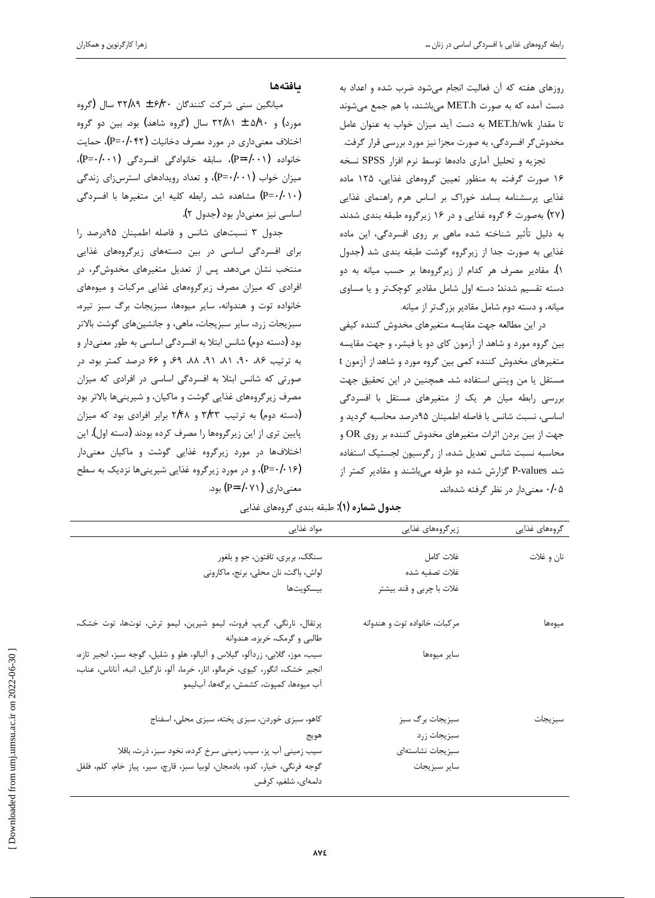روزهای هفته که آن فعالیت انجام میشود ضرب شده و اعداد به دست آمده که به صورت MET.h میباشند، با هم جمع میشوند تا مقدار MET.h/wk به دست آید. میزان خواب به عنوان عامل مخدوش گر افسردگی، به صورت مجزا نیز مورد بررسی قرار گرفت. تجزيه و تحليل آماري دادهها توسط نرم افزار SPSS نسخه

۱۶ صورت گرفت. به منظور تعیین گروههای غذایی، ۱۲۵ ماده غذایی پرسشنامه بسامد خوراک بر اساس هرم راهنمای غذایی (۲۷) به صورت ۶ گروه غذایی و در ۱۶ زیرگروه طبقه بندی شدند. به دلیل تأثیر شناخته شده ماهی بر روی افسردگی، این ماده غذایی به صورت جدا از زیرگروه گوشت طبقه بندی شد (جدول ۱). مقادیر مصرف هر کدام از زیرگروهها بر حسب میانه به دو دسته تقسیم شدند: دسته اول شامل مقادیر کوچکتر و یا مساوی میانه، و دسته دوم شامل مقادیر بزرگتر از میانه.

در این مطالعه جهت مقایسه متغیرهای مخدوش کننده کیفی بین گروه مورد و شاهد از آزمون کای دو یا فیشر، و جهت مقایسه t متغیرهای مخدوش کننده کمی بین گروه مورد و شاهد از آزمون t مستقل یا من ویتنی استفاده شد. همچنین در این تحقیق جهت بررسی رابطه میان هر یک از متغیرهای مستقل با افسردگی اساسی، نسبت شانس با فاصله اطمینان ۹۵درصد محاسبه گردید و جهت از بین بردن اثرات متغیرهای مخدوش کننده بر روی OR و محاسبه نسبت شانس تعديل شده، از رگرسيون لجستيک استفاده شد. P-values گزارش شده دو طرفه میباشند و مقادیر کمتر از ۰/۰۵ معنیدار در نظر گرفته شدهاند.

## **مافتهها**

میانگین سنی شرکت کنندگان ۶/۳۰ ± ۳۲/۸۹ سال (گروه مورد) و ۵/۹۰ ± ۳۲/۸۱ سال (گروه شاهد) بود. بین دو گروه اختلاف معنیداری در مورد مصرف دخانیات (P=۰/۰۴۲)، حمایت خانواده (P=٠/٠٠۱)، سابقه خانوادگی افسردگی (P=۰/۰۰۱)، میزان خواب (P=٠/٠١)، و تعداد رویدادهای استرسزای زندگی  $(P = \cdot / \cdot \cdot)$ مشاهده شد. رابطه كليه اين متغيرها با افسردگى اساسی نیز معنیدار بود (جدول ۲).

جدول ٣ نسبتهاى شانس وفاصله اطمينان ٩٥درصد را برای افسردگی اساسی در بین دستههای زیرگروههای غذایی منتخب نشان میدهد. پس از تعدیل متغیرهای مخدوشگر، در افرادی که میزان مصرف زیرگروههای غذایی مرکبات و میوههای خانواده توت و هندوانه، سایر میوهها، سبزیجات برگ سبز تیره، سبزيجات زرد، ساير سبزيجات، ماهي، و جانشينهاي گوشت بالاتر بود (دسته دوم) شانس ابتلا به افسردگی اساسی به طور معنیدار و به ترتیب ۰٫۶ ،۸۹، ۸۸، ۶۹، ۶۹ ،۵۹ ،۵۶ درصد کمتر بود. در صورتی که شانس ابتلا به افسردگی اساسی در افرادی که میزان مصرف زیرگروههای غذایی گوشت و ماکیان، و شیرینیها بالاتر بود (دسته دوم) به ترتیب ۳/۳۳ و ۲/۴۸ برابر افرادی بود که میزان پایین تری از این زیرگروهها را مصرف کرده بودند (دسته اول). این اختلافها در مورد زيرگروه غذايي گوشت و ماكيان معنىدار (P=•/•۱۶)، و در مورد زیرگروه غذایی شیرینیها نزدیک به سطح معنی داری (P=۰/۰۷۱) بود.

| گروههای غذایی | زیر گروههای غذایی             | مواد غذايي                                                                                       |
|---------------|-------------------------------|--------------------------------------------------------------------------------------------------|
| نان و غلات    | غلات كامل                     | سنگک، بربری، تافتون، جو و بلغور                                                                  |
|               | غلات تصفيه شده                | لواش، باگت، نان محلی، برنج، ماکارونی                                                             |
|               | غلات با چربی و قند بیشتر      | بيسكويتها                                                                                        |
| ميوهها        | مركبات، خانواده توت و هندوانه | پرتقال، نارنگی، گریپ فروت، لیمو شیرین، لیمو ترش، توتها، توت خشک،<br>طالبی و گرمک، خربزه، هندوانه |
|               | ساير ميوەھا                   | سیب، موز، گلابی، زردآلو، گیلاس و آلبالو، هلو و شلیل، گوجه سبز، انجیر تازه،                       |
|               |                               | انجير خشک، انگور، کيوي، خرمالو، انار، خرما، آلو، نارگيل، انبه، آناناس، عناب،                     |
|               |                               | آب ميوەها، كمپوت، كشمش، برگەها، آباليمو                                                          |
| سبز يجات      | سبزیجات برگ سبز               | كاهو، سبزى خوردن، سبزى پخته، سبزى محلى، اسفناج                                                   |
|               | سبزيجات زرد                   | هويج                                                                                             |
|               | سبزيجات نشاستهاى              | سیب زمینی آب پز، سیب زمینی سرخ کرده، نخود سبز، ذرت، باقلا                                        |
|               | ساير سبزيجات                  | گوجه فرنگی، خیار، کدو، بادمجان، لوبیا سبز، قارچ، سیر، پیاز خام، کلم، فلفل                        |
|               |                               | دلمەاي، شلغم، كرفس                                                                               |

## ج**دول شماره (۱)**: طبقه بندي گروههاي غذايي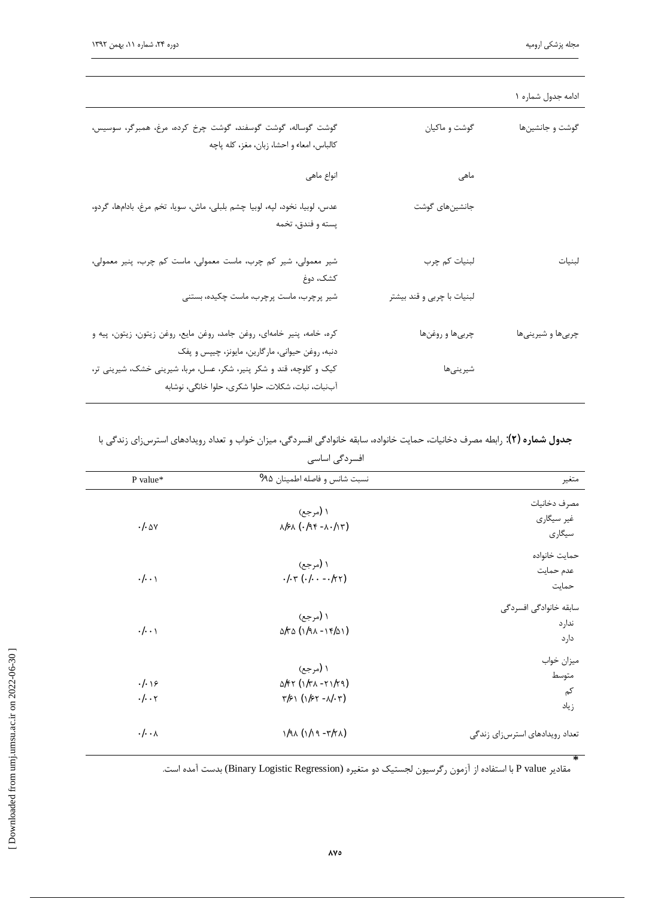#### گوشت گوساله، گوشت گوسفند، گوشت چرخ کرده، مرغ، همبرگر، سوسیس، گوشت و ماکیان گوشت و جانشینها كالباس، امعاء و احشا، زبان، مغز، كله ياچه انواع ماهي ماهی عدس، لوبيا، نخود، لپه، لوبيا چشم بلبلي، ماش، سويا، تخم مرغ، بادامها، گردو، جانشين هاى گوشت يسته و فندق، تخمه شیر معمولی، شیر کم چرب، ماست معمولی، ماست کم چرب، پنیر معمولی، لبنیات کم چرب لبنيات كشك، دوغ شیر پرچرب، ماست پرچرب، ماست چکیده، بستنی لبنیات با چربی و قند بیشتر كره، خامه، پنير خامهاى، روغن جامد، روغن مايع، روغن زيتون، زيتون، پيه و چربي ها و روغن ها چربیها و شیرینیها دنبه، روغن حیوانی، مارگارین، مایونز، چیپس و پفک کیک و کلوچه، قند و شکر پنیر، شکر، عسل، مربا، شیرینی خشک، شیرینی تر، شيرينىها آبنبات، نبات، شكلات، حلوا شكري، حلوا خانگي، نوشابه

#### ادامه جدول شماره ۱

## ج**دول شماره (۲)**: رابطه مصرف دخانیات، حمایت خانواده، سابقه خانوادگی افسردگی، میزان خواب و تعداد رویدادهای استرسiای زندگی با افسردگی اساسی

| متغير                                   | نسبت شانس و فاصله اطمينان ۹۵%                                                     | P value*                     |
|-----------------------------------------|-----------------------------------------------------------------------------------|------------------------------|
| مصرف دخانيات<br>غیر سیگاری<br>سيگارى    | ۱ (مرجع)<br>$N/F\Lambda$ ( $-19F - \Lambda$ $-11F$ )                              | $-1.0y$                      |
| حمايت خانواده<br>عدم حمايت<br>حمايت     | ۱ (مرجع)<br>$.1.7(.1-.177)$                                                       | $\cdot$ / $\cdot$ \          |
| سابقه خانوادگی افسردگی<br>ندارد<br>دارد | ۱ (مرجع)<br>$d\tau\Delta(\frac{1}{9}\lambda - \frac{1}{16}\lambda)$               | $\cdot/\cdot\cdot$           |
| ميزان خواب<br>متوسط<br>کم<br>زياد       | ۱ (مرجع)<br>$\Delta$ /۴۲ (۱/۳۸ - ۲۱/۲۹)<br>$\tau/\gamma$ (1/2 $\tau$ -N· $\tau$ ) | $. .\rangle$<br>$. . . \tau$ |
| تعداد رويدادهاى استرسزاى زندكى          | $1/9$ ( $1/19 - r/7$ )                                                            | $\cdot$ / $\cdot$ $\wedge$   |

مقادير P value با استفاده از آزمون ركرسيون لجستيك دو متغيره (Binary Logistic Regression) بدست آمده است.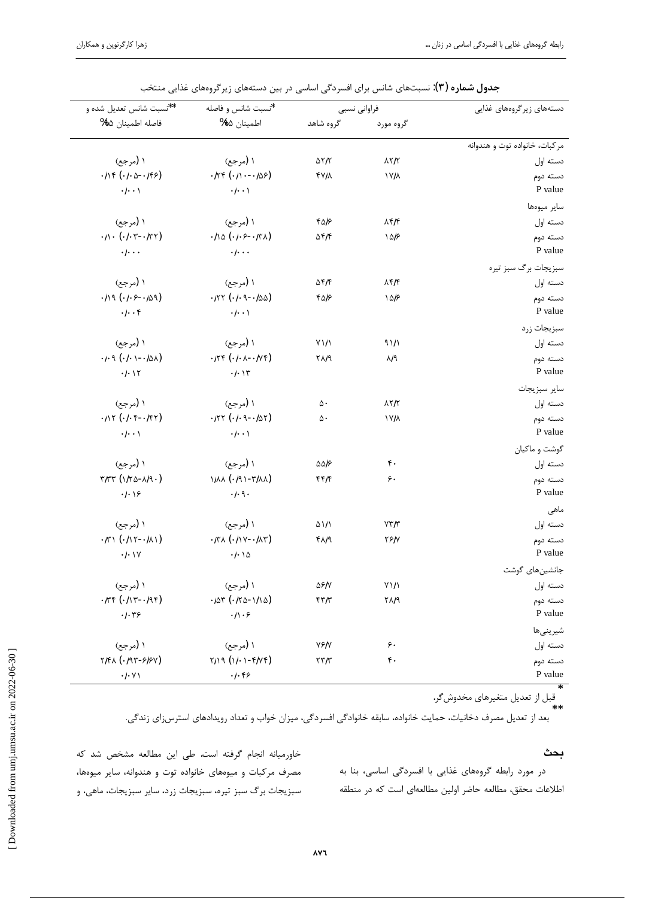| دستههای زیر گروههای غذایی     | فراواني نسبي              |                    | *نسبت شانس و فاصله                             | **نسبت شانس تعديل شده و                              |
|-------------------------------|---------------------------|--------------------|------------------------------------------------|------------------------------------------------------|
|                               | گروه مورد                 | گروه شاهد          | اطمينان ۹۵%                                    | فاصله اطمينان ٩٥%                                    |
| مركبات، خانواده توت و هندوانه |                           |                    |                                                |                                                      |
| دسته اول                      | $\lambda \gamma / \gamma$ | $\Delta \tau/\tau$ | ۱ (مرجع)                                       | ۱ (مرجع)                                             |
| دسته دوم<br>P value           | ۱۷/۸                      | <b>FVIA</b>        | $.174(.11--109)$<br>$\cdot/\cdot\cdot$         | $.114(.1.0-.195)$<br>$\cdot/\cdot\cdot$              |
| ساير ميوهها                   |                           |                    |                                                |                                                      |
| دسته اول                      | $\lambda f/f$             | ۴۵۱۶               | ۱ (مرجع)                                       | ۱ (مرجع)                                             |
| دسته دوم                      | ۱۵۱۶                      | $\Delta f/f$       | $-110 (1.5 - 171)$                             | $. / \cdot (-. / \cdot -. / \cdot )$                 |
| P value                       |                           |                    | $\cdot$   $\cdot$ .                            | $\cdot$ / $\cdot$ $\cdot$                            |
| سبزيجات برگ سبز تيره          |                           |                    |                                                |                                                      |
| دسته اول                      | $\lambda f/f$             | $\Delta f/f$       | ۱ (مرجع)                                       | ۱ (مرجع)                                             |
| دسته دوم                      | ۱۵۱۶                      | ۴۵۱۶               | $-177 (-1 - 9 - 100)$                          | $.119(.1.5-.109)$                                    |
| P value                       |                           |                    | $\cdot/\cdot\cdot$                             | $. \dagger$                                          |
| سبزيجات زرد                   |                           |                    |                                                |                                                      |
| دسته اول                      | 91/1                      | $Y\frac{1}{1}$     | ۱ (مرجع)                                       | ۱ (مرجع)                                             |
| دسته دوم                      | N٩                        | ۲ <sup>N۹</sup>    | $\cdot$ ITF $(\cdot$ I $\cdot$ A $ \cdot$ IVF) | $-1.9( -1 - 10\lambda)$                              |
| P value                       |                           |                    | .1.15                                          | $. -$                                                |
| ساير سبزيجات                  |                           |                    |                                                |                                                      |
| دسته اول                      | $\lambda \gamma / \gamma$ | ۵۰                 | ۱ (مرجع)                                       | ۱ (مرجع)                                             |
| دسته دوم                      | ۱۷Ιλ                      | ۵۰                 | $-177 (-1.9 - 107)$                            | $.111 (-1.9 - 197)$                                  |
| P value                       |                           |                    | $\cdot/\cdot\cdot$                             | $\cdot$ / $\cdot$ \                                  |
| گوشت و ماکیان                 |                           |                    |                                                |                                                      |
| دسته اول                      | ۴٠                        | ۵۵۱۶               | ۱ (مرجع)                                       | ۱ (مرجع)                                             |
| دسته دوم                      | ۶.                        | ۴۴/۴               | $1/\lambda\lambda$ ( $(191-T/\lambda\lambda)$  | $\tau/\tau\tau$ (1/ $\tau$ $\Delta$ - $\lambda$ /9.) |
| P value                       |                           |                    | $.$ /.9.                                       | $. .\rangle$                                         |
| ماهی                          |                           |                    |                                                |                                                      |
| دسته اول                      | YY/Y                      | ۵۱/۱               | ۱ (مرجع)                                       | ۱ (مرجع)                                             |
| دسته دوم                      | ٢۶Ιν                      | ۴۸۱۹               | $\cdot$ KA $(\cdot/\nu - \cdot/\lambda \tau)$  | $-\pi$ ) $(-117 - 11)$                               |
| P value                       |                           |                    | $\cdot$ / $\cdot$ $\setminus$ $\circ$          | .1.1Y                                                |
| جانشين هاى گوشت               |                           |                    |                                                |                                                      |
| دسته اول                      | $Y\mathcal{V}$            | ۵۶/۷               | ۱ (مرجع)                                       | ۱ (مرجع)                                             |
| دسته دوم                      | ٢٨Ι٩                      | $\frac{1}{2}$      | $-10r$ $( -170 - 110)$                         | $-k + (1 + 1) + 1$                                   |
| P value                       |                           |                    | $.  \cdot \rangle$                             | $. .\tau$ ۶                                          |
| شيرينىها                      |                           |                    |                                                |                                                      |
| دسته اول                      | ۶.                        | <b>VSI</b>         | ۱ (مرجع)                                       | ۱ (مرجع)                                             |
| دسته دوم                      | $\mathfrak{r}$ .          | $\tau\tau/\tau$    | $Y/19(11.1 - Y/Vf)$                            | $Y/K\wedge$ ( $\cdot$ /9۳- $F$ / $F$ Y)              |
| P value                       |                           |                    | $.  .$ ۴۶                                      | $\cdot/\cdot$ Y)                                     |

جدول شماره (۳): نسبتهای شانس برای افسردگی اساسی در بین دستههای زیرگروههای غذایی منتخب

قبل از تعدیل متغیرهای مخدوش گر.  $***$ 

بعد از تعدیل مصرف دخانیات، حمایت خانواده، سابقه خانوادگی افسردگی، میزان خواب و تعداد رویدادهای استرس;ای زندگی.

#### بحث

در مورد رابطه گروههای غذایی با افسردگی اساسی، بنا به اطلاعات محقق، مطالعه حاضر اولین مطالعهای است که در منطقه

خاورمیانه انجام گرفته است. طی این مطالعه مشخص شد که مصرف مرکبات و میوههای خانواده توت و هندوانه، سایر میوهها، سبزیجات برگ سبز تیره، سبزیجات زرد، سایر سبزیجات، ماهی، و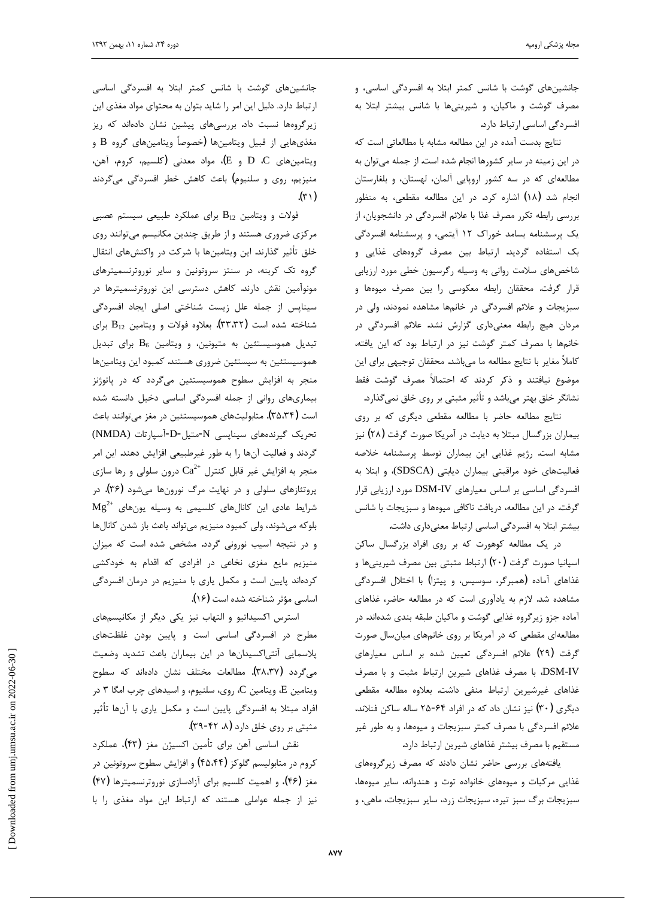جانشینهای گوشت با شانس کمتر ابتلا به افسردگی اساسی، و مصرف گوشت و ماكيان، و شيرينيها با شانس بيشتر ابتلا به افسردگی اساسی ارتباط دارد.

نتايج بدست آمده در اين مطالعه مشابه با مطالعاتي است كه در این زمینه در سایر کشورها انجام شده است. از جمله میتوان به مطالعهای که در سه کشور اروپایی آلمان، لهستان، و بلغارستان انجام شد (١٨) اشاره كرد. در اين مطالعه مقطعي، به منظور بررسی رابطه تکرر مصرف غذا با علائم افسردگی در دانشجویان، از یک پرسشنامه بسامد خوراک ۱۲ آیتمی، و پرسشنامه افسردگی بک استفاده گردید. ارتباط بین مصرف گروههای غذایی و شاخصهای سلامت روانی به وسیله رگرسیون خطی مورد ارزیابی قرار گرفت. محققان رابطه معکوسی را بین مصرف میوهها و سبزیجات و علائم افسردگی در خانمها مشاهده نمودند، ولی در مردان هیچ رابطه معنیداری گزارش نشد. علائم افسردگی در خانمها با مصرف كمتر گوشت نيز در ارتباط بود كه اين يافته، كاملاً مغاير با نتايج مطالعه ما مىباشد. محققان توجيهي براي اين موضوع نيافتند و ذكر كردند كه احتمالاً مصرف گوشت فقط نشانگر خلق بهتر میباشد و تأثیر مثبتی بر روی خلق نمیگذارد.

نتايج مطالعه حاضر با مطالعه مقطعى ديگرى كه بر روى بیماران بزرگسال مبتلا به دیابت در آمریکا صورت گرفت (۲۸) نیز مشابه است. رژيم غذايي اين بيماران توسط پرسشنامه خلاصه فعاليتهاى خود مراقبتى بيماران ديابتى (SDSCA)، و ابتلا به افسردگی اساسی بر اساس معیارهای DSM-IV مورد ارزیابی قرار گرفت. در این مطالعه، دریافت ناکافی میوهها و سبزیجات با شانس بيشتر ابتلا به افسردگي اساسي ارتباط معنىداري داشت.

در یک مطالعه کوهورت که بر روی افراد بزرگسال ساکن اسپانیا صورت گرفت (۲۰) ارتباط مثبتی بین مصرف شیرینیها و غذاهای آماده (همبرگر، سوسیس، و پیتزا) با اختلال افسردگی مشاهده شد. لازم به یادآوری است که در مطالعه حاضر، غذاهای آماده جزو زيرگروه غذايي گوشت و ماكيان طبقه بندي شدهاند. در مطالعهای مقطعی که در آمریکا بر روی خانمهای میانسال صورت گرفت (٢٩) علائم افسردگی تعیین شده بر اساس معیارهای DSM-IV، با مصرف غذاهای شیرین ارتباط مثبت و با مصرف غذاهای غیرشیرین ارتباط منفی داشت. بعلاوه مطالعه مقطعی دیگری (۳۰) نیز نشان داد که در افراد ۶۴-۲۵ ساله ساکن فنلاند، علائم افسردگی با مصرف کمتر سبزيجات و ميوهها، و به طور غير مستقيم با مصرف بيشتر غذاهاي شيرين ارتباط دارد.

یافتههای بررسی حاضر نشان دادند که مصرف زیرگروههای غذایی مرکبات و میوههای خانواده توت و هندوانه، سایر میوهها، سبزیجات برگ سبز تیره، سبزیجات زرد، سایر سبزیجات، ماهی، و

جانشینهای گوشت با شانس کمتر ابتلا به افسردگی اساسی ارتباط دارد. دليل اين امر را شايد بتوان به محتواى مواد مغذى اين زیرگروهها نسبت داد. بررسیهای پیشین نشان دادهاند که ریز مغذيهايي از قبيل ويتامينها (خصوصاً ويتامينهاي گروه B و ويتامينهاي D، C و E)، مواد معدني (كلسيم، كروم، أهن، منیزیم، روی و سلنیوم) باعث کاهش خطر افسردگی میگردند  $(\uparrow\uparrow)$ 

j

فولات و ویتامین  $B_{12}$  برای عملکرد طبیعی سیستم عصبی مرکزی ضروری هستند و از طریق چندین مکانیسم میتوانند روی خلق تأثير گذارند. اين ويتامينها با شركت در واكنشهاى انتقال گروه تک کربنه، در سنتز سروتونین و سایر نوروترنسمیترهای مونوآمین نقش دارند. کاهش دسترسی این نوروترنسمیترها در سيناپس از جمله علل زيست شناختى اصلى ايجاد افسردگى شناخته شده است (۳۳٬۳۲). بعلاوه فولات و ویتامین  $\mathrm{B}_{12}$  برای تبدیل هموسیستئین به متیونین، و ویتامین  $B_6$  برای تبدیل هموسیستئین به سیستئین ضروری هستند. کمبود این ویتامینها منجر به افزایش سطوح هموسیستئین میگردد که در پاتوژنز بیماریهای روانی از جمله افسردگی اساسی دخیل دانسته شده است (۳۵،۳۴). متابولیتهای هموسیستئین در مغز میتوانند باعث تحريك گيرندههاى سيناپسى N-متيل-D-آسپارتات (NMDA) گردند و فعالیت آنها را به طور غیرطبیعی افزایش دهند. این امر منجر به افزایش غیر قابل کنترل  $\mathrm{Ca}^{2+}$  درون سلولی و رها سازی پروتئازهای سلولی و در نهایت مرگ نورونها میشود (۳۶). در  ${ {\rm Mg}^{2+} }$  شرایط عادی این کانالهای کلسیمی به وسیله یونهای بلوكه مىشوند، ولى كمبود منيزيم مىتواند باعث باز شدن كانالها و در نتيجه آسيب نوروني گردد. مشخص شده است كه ميزان منیزیم مایع مغزی نخاعی در افرادی که اقدام به خودکشی کردهاند پایین است و مکمل یاری با منیزیم در درمان افسردگی اساسی مؤثر شناخته شده است (۱۶).

استرس اکسیداتیو و التهاب نیز یکی دیگر از مکانیسمهای مطرح در افسردگی اساسی است و پایین بودن غلظتهای پلاسمایی آنتیاکسیدانها در این بیماران باعث تشدید وضعیت می گردد (۳۸،۳۷). مطالعات مختلف نشان دادهاند که سطوح ویتامین E، ویتامین C، روی، سلنیوم، و اسیدهای چرب امگا ۳ در افراد مبتلا به افسردگی پایین است و مکمل یاری با آنها تأثیر مثبتی بر روی خلق دارد (۹۸ ۴۲-۳۹).

نقش اساسی آهن برای تأمین اکسیژن مغز **(۴۳)**، عملکرد کروم در متابولیسم گلوکز (۴۵٬۴۴) و افزایش سطوح سروتونین در مغز (۴۶)، و اهمیت کلسیم برای آزادسازی نوروترنسمیترها (۴۷) نیز از جمله عواملی هستند که ارتباط این مواد مغذی را با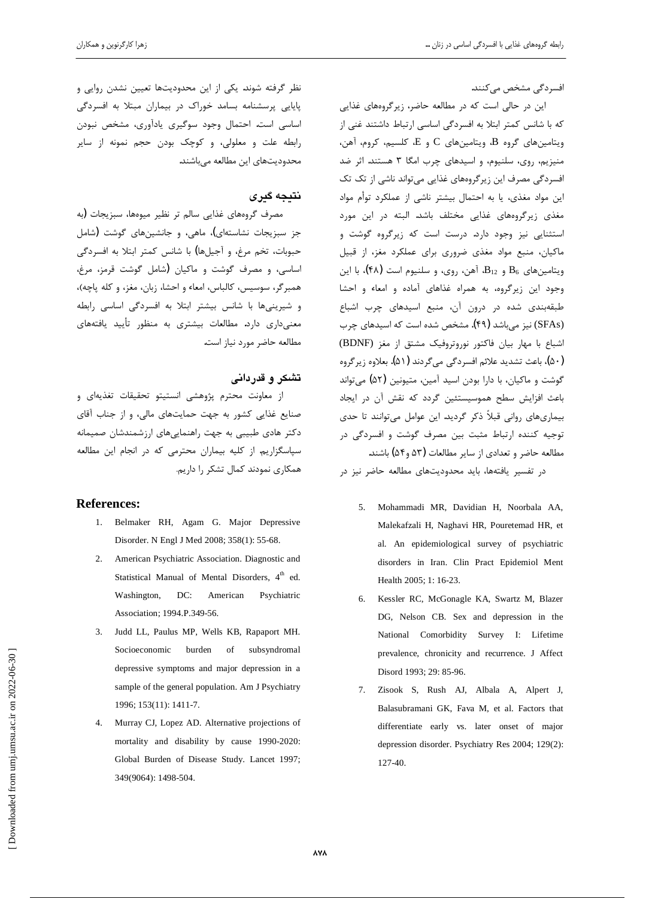افسردگی مشخص می *ک*نند.

این در حالی است که در مطالعه حاضر، زیرگروههای غذایی که با شانس کمتر ابتلا به افسردگی اساسی ارتباط داشتند غنی از  $\cdot$ ویتامینهای گروه  $B$ ، ویتامینهای  $C$  و  $E$ ، کلسیم، کروم، آهن منیزیم، روی، سلنیوم، و اسیدهای چرب امگا ۳ هستند. اثر ضد افسردگی مصرف این زیرگروههای غذایی میتواند ناشی از تک تک این مواد مغذی، یا به احتمال بیشتر ناشی از عملکرد توأم مواد مغذی زیرگروههای غذایی مختلف باشد. البته در این مورد استثنایی نیز وجود دارد. درست است که زیرگروه گوشت و ماكيان، منبع مواد مغذى ضرورى براى عملكرد مغز، از قبيل ویتامینهای  $B_6$  و  $B_{12}$ ، آهن، روی، و سلنیوم است (۴۸)، با این وجود این زیرگروه، به همراه غذاهای آماده و امعاء و احشا طبقهبندی شده در درون آن، منبع اسیدهای چرب اشباع (SFAs) نیز می باشد (۴۹). مشخص شده است که اسیدهای چرب اشباع با مهار بيان فاكتور نوروتروفيك مشتق از مغز (BDNF) (۵۰)، باعث تشديد علائم افسردگي ميگردند (۵۱). بعلاوه زيرگروه گوشت و ماکیان، با دارا بودن اسید آمین، متیونین (۵۲) میتواند باعث افزایش سطح هموسیستئین گردد که نقش آن در ایجاد بيماريهاي رواني قبلاً ذكر گرديد. اين عوامل مي توانند تا حدي توجيه كننده ارتباط مثبت بين مصرف گوشت و افسردگي در مطالعه حاضر و تعدادي از ساير مطالعات (۵۳ و۵۴) باشند. در تفسير يافتهها، بايد محدوديتهاى مطالعه حاضر نيز در

- 5. Mohammadi MR, Davidian H, Noorbala AA, Malekafzali H, Naghavi HR, Pouretemad HR, et al. An epidemiological survey of psychiatric disorders in Iran. Clin Pract Epidemiol Ment Health 2005; 1: 16-23.
- 6. Kessler RC, McGonagle KA, Swartz M, Blazer DG, Nelson CB. Sex and depression in the National Comorbidity Survey I: Lifetime prevalence, chronicity and recurrence. J Affect Disord 1993; 29: 85-96.
- 7. Zisook S, Rush AJ, Albala A, Alpert J, Balasubramani GK, Fava M, et al. Factors that differentiate early vs. later onset of major depression disorder. Psychiatry Res 2004; 129(2): 127-40.

نظر گرفته شوند. یکی از این محدودیتها تعیین نشدن روایی و پایایی پرسشنامه بسامد خوراک در بیماران مبتلا به افسردگی اساسی است. احتمال وجود سوگیری یادآوری، مشخص نبودن رابطه علت و معلولی، و کوچک بودن حجم نمونه از سایر محدوديتهاى اين مطالعه مىباشند.

## **نتىجە گىرى**

مصرف گروههای غذایی سالم تر نظیر میوهها، سبزیجات (به جز سبزیجات نشاستهای)، ماهی، و جانشینهای گوشت (شامل حبوبات، تخم مرغ، و آجیلها) با شانس کمتر ابتلا به افسردگی اساسی، و مصرف گوشت و ماکیان (شامل گوشت قرمز، مرغ، همبرگر، سوسیس، کالباس، امعاء و احشا، زبان، مغز، و کله پاچه)، و شیرینیها با شانس بیشتر ابتلا به افسردگی اساسی رابطه معنیداری دارد. مطالعات بیشتری به منظور تأیید یافتههای مطالعه حاضر مورد نياز است.

# **تشکر و قدردانی**

از معاونت محترم پژوهشی انستیتو تحقیقات تغذیهای و ضنایع غذایی کشور به جهت حمایتهای مالی، و از جناب آقای دكتر هادى طبيبي به جهت راهنماييهاى ارزشمندشان صميمانه سپاسگزاریم. از کلیه بیماران محترمی که در انجام این مطالعه همکاری نمودند کمال تشکر را داریم.

### **References:**

- 1. Belmaker RH, Agam G. Major Depressive Disorder. N Engl J Med 2008; 358(1): 55-68.
- 2. American Psychiatric Association. Diagnostic and Statistical Manual of Mental Disorders,  $4<sup>th</sup>$  ed. Washington, DC: American Psychiatric Association; 1994.P.349-56.
- 3. Judd LL, Paulus MP, Wells KB, Rapaport MH. Socioeconomic burden of subsyndromal depressive symptoms and major depression in a sample of the general population. Am J Psychiatry 1996; 153(11): 1411-7.
- 4. Murray CJ, Lopez AD. Alternative projections of mortality and disability by cause 1990-2020: Global Burden of Disease Study. Lancet 1997; 349(9064): 1498-504.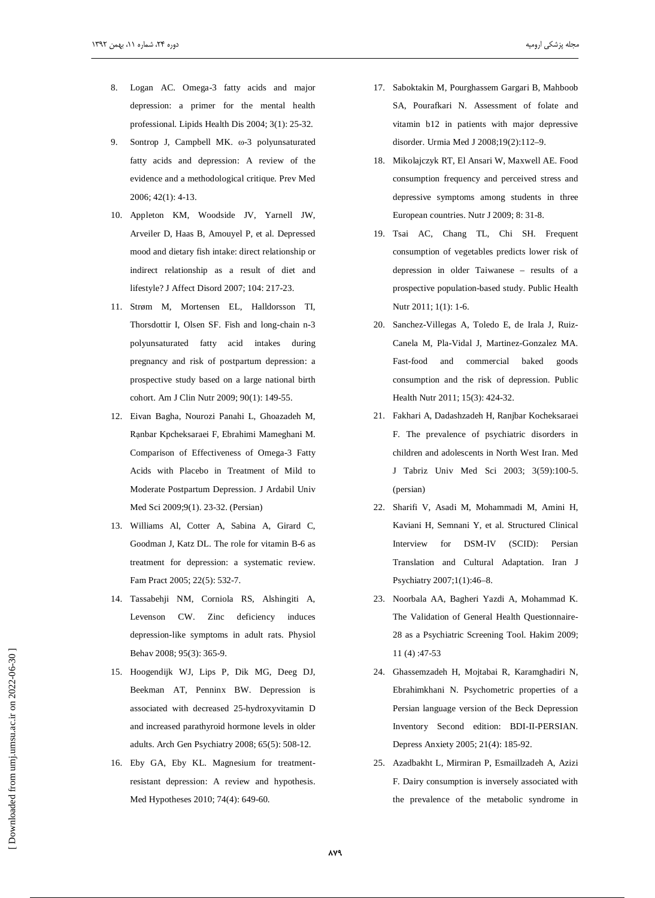- 8. Logan AC. Omega-3 fatty acids and major depression: a primer for the mental health professional. Lipids Health Dis 2004; 3(1): 25-32.
- Sontrop J, Campbell MK. @-3 polyunsaturated  $\mathbf{Q}$ fatty acids and depression: A review of the evidence and a methodological critique. Prev Med 2006; 42(1): 4-13.
- 10. Appleton KM, Woodside JV, Yarnell JW, Arveiler D, Haas B, Amouyel P, et al. Depressed mood and dietary fish intake: direct relationship or indirect relationship as a result of diet and lifestyle? J Affect Disord 2007; 104: 217-23.
- 11. Strøm M, Mortensen EL, Halldorsson TI, Thorsdottir I, Olsen SF. Fish and long-chain n-3 polyunsaturated fatty acid intakes during pregnancy and risk of postpartum depression: a prospective study based on a large national birth cohort. Am J Clin Nutr 2009; 90(1): 149-55.
- 12. Eivan Bagha, Nourozi Panahi L, Ghoazadeh M, Ranbar Kpcheksaraei F, Ebrahimi Mameghani M. Comparison of Effectiveness of Omega-3 Fatty Acids with Placebo in Treatment of Mild to Moderate Postpartum Depression. J Ardabil Univ Med Sci 2009;9(1). 23-32. (Persian)
- 13. Williams Al, Cotter A, Sabina A, Girard C, Goodman J, Katz DL. The role for vitamin B-6 as treatment for depression: a systematic review. Fam Pract 2005; 22(5): 532-7.
- 14. Tassabehji NM, Corniola RS, Alshingiti A, Levenson CW. Zinc deficiency induces depression-like symptoms in adult rats. Physiol Behav 2008; 95(3): 365-9.
- 15. Hoogendijk WJ, Lips P, Dik MG, Deeg DJ, Beekman AT, Penninx BW. Depression is associated with decreased 25-hydroxyvitamin D and increased parathyroid hormone levels in older adults. Arch Gen Psychiatry 2008; 65(5): 508-12.
- 16. Eby GA, Eby KL. Magnesium for treatmentresistant depression: A review and hypothesis. Med Hypotheses 2010; 74(4): 649-60.
- 17. Saboktakin M, Pourghassem Gargari B, Mahboob SA, Pourafkari N. Assessment of folate and vitamin b12 in patients with major depressive disorder. Urmia Med J 2008;19(2):112-9.
- 18. Mikolajczyk RT, El Ansari W, Maxwell AE. Food consumption frequency and perceived stress and depressive symptoms among students in three European countries. Nutr J 2009; 8: 31-8.
- 19. Tsai AC, Chang TL, Chi SH. Frequent consumption of vegetables predicts lower risk of depression in older Taiwanese - results of a prospective population-based study. Public Health Nutr 2011; 1(1): 1-6.
- 20. Sanchez-Villegas A, Toledo E, de Irala J, Ruiz-Canela M, Pla-Vidal J, Martinez-Gonzalez MA. Fast-food and commercial baked goods consumption and the risk of depression. Public Health Nutr 2011; 15(3): 424-32.
- 21. Fakhari A, Dadashzadeh H, Ranjbar Kocheksaraei F. The prevalence of psychiatric disorders in children and adolescents in North West Iran. Med J Tabriz Univ Med Sci 2003; 3(59):100-5. (persian)
- 22. Sharifi V, Asadi M, Mohammadi M, Amini H, Kaviani H, Semnani Y, et al. Structured Clinical DSM-IV (SCID): Persian Interview for Translation and Cultural Adaptation. Iran J Psychiatry 2007;1(1):46-8.
- 23. Noorbala AA, Bagheri Yazdi A, Mohammad K. The Validation of General Health Questionnaire-28 as a Psychiatric Screening Tool. Hakim 2009;  $11(4):47-53$
- 24. Ghassemzadeh H, Mojtabai R, Karamghadiri N, Ebrahimkhani N. Psychometric properties of a Persian language version of the Beck Depression Inventory Second edition: BDI-II-PERSIAN. Depress Anxiety 2005; 21(4): 185-92.
- 25. Azadbakht L, Mirmiran P, Esmaillzadeh A, Azizi F. Dairy consumption is inversely associated with the prevalence of the metabolic syndrome in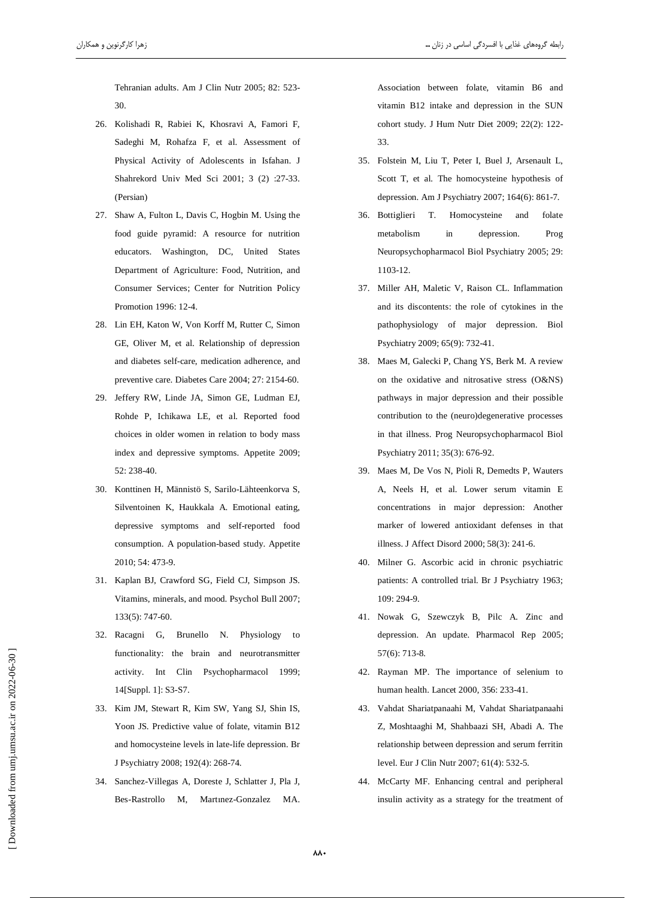Tehranian adults. Am J Clin Nutr 2005; 82: 523-30.

- 26. Kolishadi R, Rabiei K, Khosravi A, Famori F, Sadeghi M, Rohafza F, et al. Assessment of Physical Activity of Adolescents in Isfahan. J Shahrekord Univ Med Sci 2001; 3 (2) :27-33. (Persian)
- 27. Shaw A, Fulton L, Davis C, Hogbin M. Using the food guide pyramid: A resource for nutrition educators. Washington, DC, United States Department of Agriculture: Food, Nutrition, and Consumer Services; Center for Nutrition Policy Promotion 1996: 12-4.
- 28. Lin EH, Katon W, Von Korff M, Rutter C, Simon GE, Oliver M, et al. Relationship of depression and diabetes self-care, medication adherence, and preventive care. Diabetes Care 2004; 27: 2154-60.
- 29. Jeffery RW, Linde JA, Simon GE, Ludman EJ, Rohde P, Ichikawa LE, et al. Reported food choices in older women in relation to body mass index and depressive symptoms. Appetite 2009; 52: 238-40.
- 30. Konttinen H, Männistö S, Sarilo-Lähteenkorva S, Silventoinen K, Haukkala A. Emotional eating, depressive symptoms and self-reported food consumption. A population-based study. Appetite 2010; 54: 473-9.
- 31. Kaplan BJ, Crawford SG, Field CJ, Simpson JS. Vitamins, minerals, and mood. Psychol Bull 2007;  $133(5)$ : 747-60.
- 32. Racagni G, Brunello N. Physiology to functionality: the brain and neurotransmitter activity. Int Clin Psychopharmacol 1999; 14[Suppl. 1]: S3-S7.
- 33. Kim JM, Stewart R, Kim SW, Yang SJ, Shin IS, Yoon JS. Predictive value of folate, vitamin B12 and homocysteine levels in late-life depression. Br J Psychiatry 2008; 192(4): 268-74.
- 34. Sanchez-Villegas A, Doreste J, Schlatter J, Pla J, Bes-Rastrollo M, Martinez-Gonzalez MA.

Association between folate, vitamin B6 and vitamin B12 intake and depression in the SUN cohort study. J Hum Nutr Diet 2009; 22(2): 122- $33$ 

- 35. Folstein M, Liu T, Peter I, Buel J, Arsenault L, Scott T, et al. The homocysteine hypothesis of depression. Am J Psychiatry 2007; 164(6): 861-7.
- 36. Bottiglieri T. Homocysteine and folate metabolism in depression. Prog Neuropsychopharmacol Biol Psychiatry 2005; 29: 1103-12.
- 37. Miller AH, Maletic V, Raison CL. Inflammation and its discontents: the role of cytokines in the pathophysiology of major depression. Biol Psychiatry 2009; 65(9): 732-41.
- 38. Maes M, Galecki P, Chang YS, Berk M. A review on the oxidative and nitrosative stress (O&NS) pathways in major depression and their possible contribution to the (neuro)degenerative processes in that illness. Prog Neuropsychopharmacol Biol Psychiatry 2011; 35(3): 676-92.
- 39. Maes M, De Vos N, Pioli R, Demedts P, Wauters A, Neels H, et al. Lower serum vitamin E concentrations in major depression: Another marker of lowered antioxidant defenses in that illness. J Affect Disord 2000; 58(3): 241-6.
- 40. Milner G. Ascorbic acid in chronic psychiatric patients: A controlled trial. Br J Psychiatry 1963; 109: 294-9.
- 41. Nowak G, Szewczyk B, Pilc A. Zinc and depression. An update. Pharmacol Rep 2005;  $57(6)$ : 713-8.
- 42. Rayman MP. The importance of selenium to human health. Lancet 2000, 356: 233-41.
- 43. Vahdat Shariatpanaahi M, Vahdat Shariatpanaahi Z, Moshtaaghi M, Shahbaazi SH, Abadi A. The relationship between depression and serum ferritin level. Eur J Clin Nutr 2007; 61(4): 532-5.
- 44. McCarty MF. Enhancing central and peripheral insulin activity as a strategy for the treatment of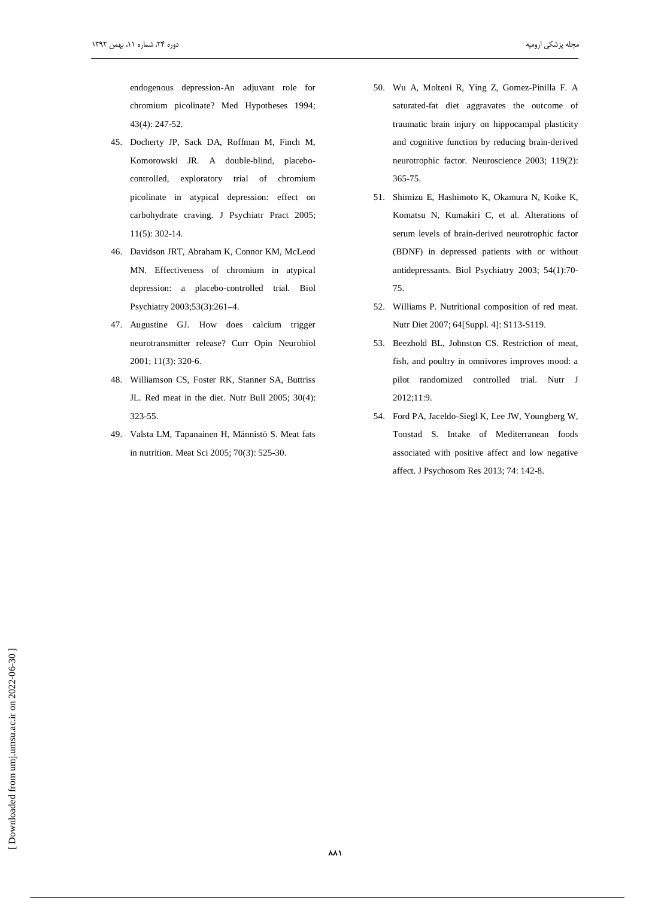endogenous depression-An adjuvant role for chromium picolinate? Med Hypotheses 1994;  $43(4): 247-52.$ 

- 45. Docherty JP, Sack DA, Roffman M, Finch M, Komorowski JR. A double-blind, placebocontrolled, exploratory trial of chromium picolinate in atypical depression: effect on carbohydrate craving. J Psychiatr Pract 2005;  $11(5): 302-14.$
- 46. Davidson JRT, Abraham K, Connor KM, McLeod MN. Effectiveness of chromium in atypical depression: a placebo-controlled trial. Biol Psychiatry 2003;53(3):261-4.
- 47. Augustine GJ. How does calcium trigger neurotransmitter release? Curr Opin Neurobiol 2001; 11(3): 320-6.
- 48. Williamson CS, Foster RK, Stanner SA, Buttriss JL. Red meat in the diet. Nutr Bull 2005; 30(4): 323-55.
- 49. Valsta LM, Tapanainen H, Männistö S. Meat fats in nutrition. Meat Sci 2005; 70(3): 525-30.
- 50. Wu A, Molteni R, Ying Z, Gomez-Pinilla F. A saturated-fat diet aggravates the outcome of traumatic brain injury on hippocampal plasticity and cognitive function by reducing brain-derived neurotrophic factor. Neuroscience 2003; 119(2): 365-75.
- 51. Shimizu E, Hashimoto K, Okamura N, Koike K, Komatsu N, Kumakiri C, et al. Alterations of serum levels of brain-derived neurotrophic factor (BDNF) in depressed patients with or without antidepressants. Biol Psychiatry 2003; 54(1):70-75.
- 52. Williams P. Nutritional composition of red meat. Nutr Diet 2007; 64[Suppl. 4]: S113-S119.
- 53. Beezhold BL, Johnston CS. Restriction of meat, fish, and poultry in omnivores improves mood: a pilot randomized controlled trial. Nutr J 2012;11:9.
- 54. Ford PA, Jaceldo-Siegl K, Lee JW, Youngberg W, Tonstad S. Intake of Mediterranean foods associated with positive affect and low negative affect. J Psychosom Res 2013; 74: 142-8.